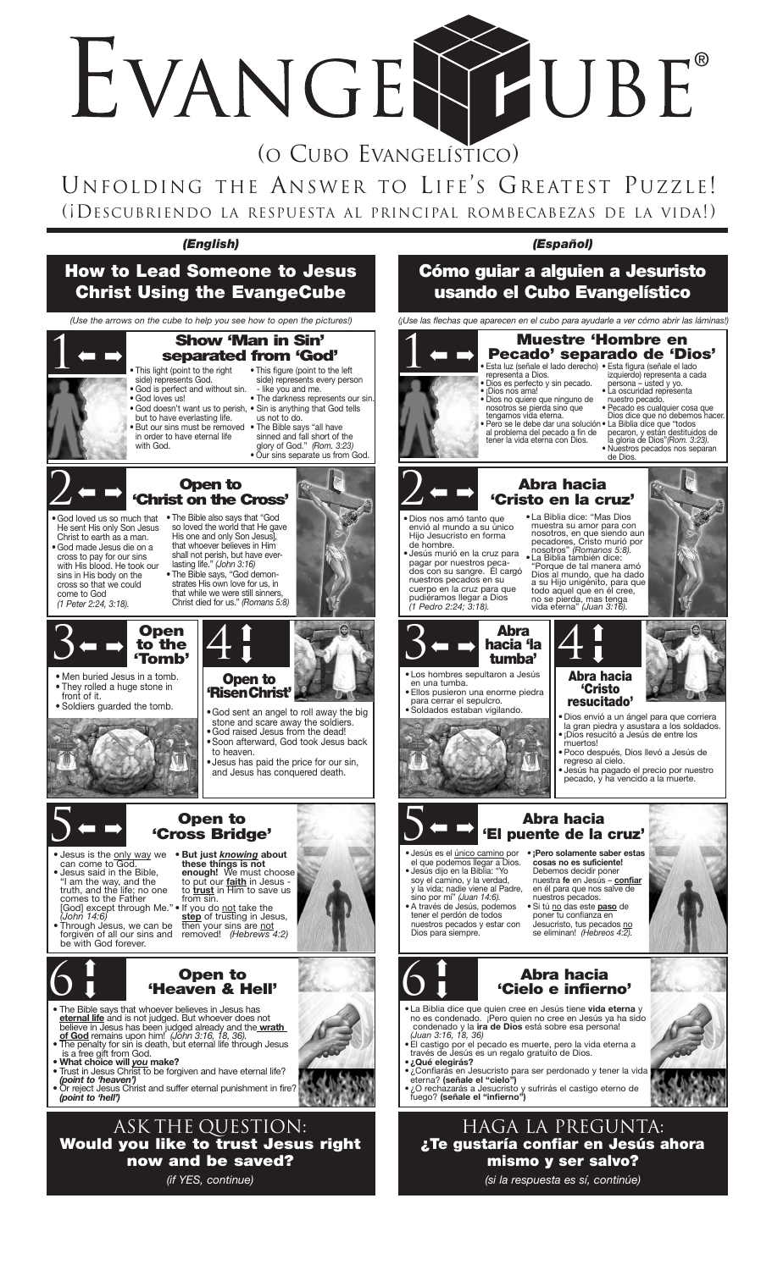